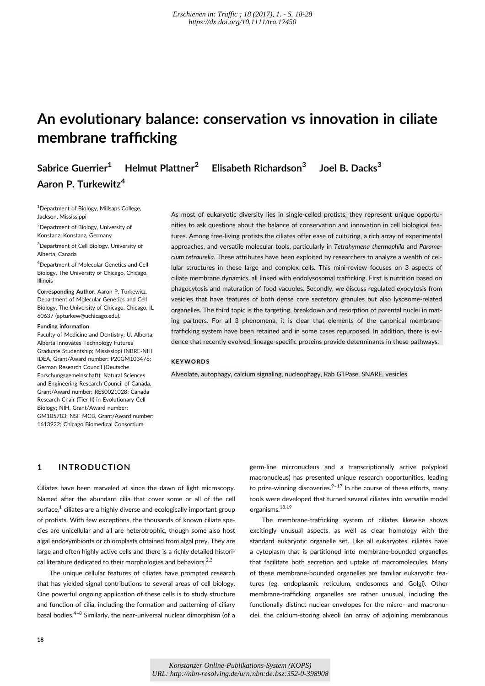# **An evolutionary balance: conservation vs innovation in ciliate membrane trafficking**

**Sabrice Guerrier<sup>1</sup> Helmut Plattner<sup>2</sup> Elisabeth Richardson3 Joel B. Dacks3 Aaron P. Turkewitz4**

<sup>1</sup> Department of Biology, Millsaps College, Jackson, Mississippi

<sup>2</sup> Department of Biology, University of Konstanz, Konstanz, Germany

<sup>3</sup> Department of Cell Biology, University of Alberta, Canada

4 Department of Molecular Genetics and Cell Biology, The University of Chicago, Chicago, Illinois

**Corresponding Author**: Aaron P. Turkewitz, Department of Molecular Genetics and Cell Biology, The University of Chicago, Chicago, IL 60637 (apturkew@uchicago.edu).

#### **Funding information**

Faculty of Medicine and Dentistry; U. Alberta; Alberta Innovates Technology Futures Graduate Studentship; Mississippi INBRE-NIH IDEA, Grant/Award number: P20GM103476; German Research Council (Deutsche Forschungsgemeinschaft); Natural Sciences and Engineering Research Council of Canada, Grant/Award number: RES0021028; Canada Research Chair (Tier II) in Evolutionary Cell Biology; NIH, Grant/Award number: GM105783; NSF MCB, Grant/Award number: 1613922; Chicago Biomedical Consortium.

As most of eukaryotic diversity lies in single-celled protists, they represent unique opportunities to ask questions about the balance of conservation and innovation in cell biological features. Among free-living protists the ciliates offer ease of culturing, a rich array of experimental approaches, and versatile molecular tools, particularly in *Tetrahymena thermophila* and *Paramecium tetraurelia*. These attributes have been exploited by researchers to analyze a wealth of cellular structures in these large and complex cells. This mini-review focuses on 3 aspects of ciliate membrane dynamics, all linked with endolysosomal trafficking. First is nutrition based on phagocytosis and maturation of food vacuoles. Secondly, we discuss regulated exocytosis from vesicles that have features of both dense core secretory granules but also lysosome-related organelles. The third topic is the targeting, breakdown and resorption of parental nuclei in mating partners. For all 3 phenomena, it is clear that elements of the canonical membranetrafficking system have been retained and in some cases repurposed. In addition, there is evidence that recently evolved, lineage-specific proteins provide determinants in these pathways.

#### **KEYWORDS**

Alveolate, autophagy, calcium signaling, nucleophagy, Rab GTPase, SNARE, vesicles

## **1 INTRODUCTION**

Ciliates have been marveled at since the dawn of light microscopy. Named after the abundant cilia that cover some or all of the cell surface, $1$  ciliates are a highly diverse and ecologically important group of protists. With few exceptions, the thousands of known ciliate species are unicellular and all are heterotrophic, though some also host algal endosymbionts or chloroplasts obtained from algal prey. They are large and often highly active cells and there is a richly detailed historical literature dedicated to their morphologies and behaviors.<sup>2,3</sup>

The unique cellular features of ciliates have prompted research that has yielded signal contributions to several areas of cell biology. One powerful ongoing application of these cells is to study structure and function of cilia, including the formation and patterning of ciliary basal bodies.4–<sup>8</sup> Similarly, the near-universal nuclear dimorphism (of a germ-line micronucleus and a transcriptionally active polyploid macronucleus) has presented unique research opportunities, leading to prize-winning discoveries. $9-17$  In the course of these efforts, many tools were developed that turned several ciliates into versatile model organisms.18,19

The membrane-trafficking system of ciliates likewise shows excitingly unusual aspects, as well as clear homology with the standard eukaryotic organelle set. Like all eukaryotes, ciliates have a cytoplasm that is partitioned into membrane-bounded organelles that facilitate both secretion and uptake of macromolecules. Many of these membrane-bounded organelles are familiar eukaryotic features (eg, endoplasmic reticulum, endosomes and Golgi). Other membrane-trafficking organelles are rather unusual, including the functionally distinct nuclear envelopes for the micro- and macronuclei, the calcium-storing alveoli (an array of adjoining membranous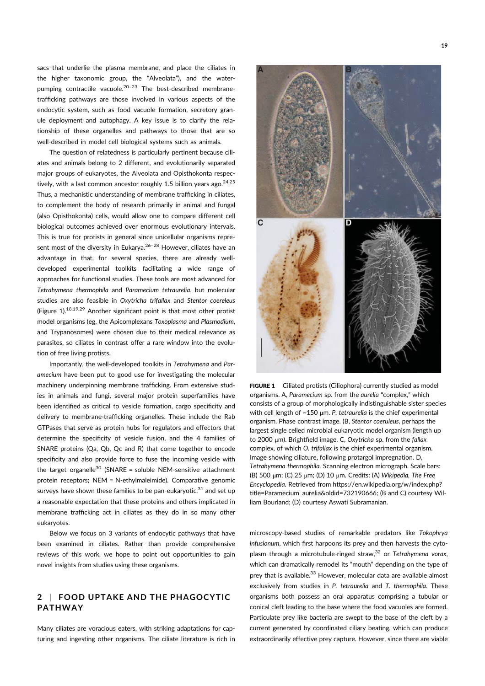sacs that underlie the plasma membrane, and place the ciliates in the higher taxonomic group, the "Alveolata"), and the waterpumping contractile vacuole. $20-23$  The best-described membranetrafficking pathways are those involved in various aspects of the endocytic system, such as food vacuole formation, secretory granule deployment and autophagy. A key issue is to clarify the relationship of these organelles and pathways to those that are so well-described in model cell biological systems such as animals.

The question of relatedness is particularly pertinent because ciliates and animals belong to 2 different, and evolutionarily separated major groups of eukaryotes, the Alveolata and Opisthokonta respectively, with a last common ancestor roughly 1.5 billion years ago.<sup>24,25</sup> Thus, a mechanistic understanding of membrane trafficking in ciliates, to complement the body of research primarily in animal and fungal (also Opisthokonta) cells, would allow one to compare different cell biological outcomes achieved over enormous evolutionary intervals. This is true for protists in general since unicellular organisms represent most of the diversity in Eukarya.<sup>26-28</sup> However, ciliates have an advantage in that, for several species, there are already welldeveloped experimental toolkits facilitating a wide range of approaches for functional studies. These tools are most advanced for *Tetrahymena thermophila* and *Paramecium tetraurelia*, but molecular studies are also feasible in *Oxytricha trifallax* and *Stentor coereleus* (Figure 1).18,19,29 Another significant point is that most other protist model organisms (eg, the Apicomplexans *Toxoplasma* and *Plasmodium*, and Trypanosomes) were chosen due to their medical relevance as parasites, so ciliates in contrast offer a rare window into the evolution of free living protists.

Importantly, the well-developed toolkits in *Tetrahymena* and *Paramecium* have been put to good use for investigating the molecular machinery underpinning membrane trafficking. From extensive studies in animals and fungi, several major protein superfamilies have been identified as critical to vesicle formation, cargo specificity and delivery to membrane-trafficking organelles. These include the Rab GTPases that serve as protein hubs for regulators and effectors that determine the specificity of vesicle fusion, and the 4 families of SNARE proteins (Qa, Qb, Qc and R) that come together to encode specificity and also provide force to fuse the incoming vesicle with the target organelle<sup>30</sup> (SNARE = soluble NEM-sensitive attachment protein receptors; NEM = N-ethylmaleimide). Comparative genomic surveys have shown these families to be pan-eukaryotic, $31$  and set up a reasonable expectation that these proteins and others implicated in membrane trafficking act in ciliates as they do in so many other eukaryotes.

Below we focus on 3 variants of endocytic pathways that have been examined in ciliates. Rather than provide comprehensive reviews of this work, we hope to point out opportunities to gain novel insights from studies using these organisms.

## **2** | **FOOD UPTAKE AND THE PHAGOCYTIC PATHWAY**

Many ciliates are voracious eaters, with striking adaptations for capturing and ingesting other organisms. The ciliate literature is rich in

FIGURE 1 Ciliated protists (Ciliophora) currently studied as model organisms. A, *Paramecium* sp. from the *aurelia* "complex," which consists of a group of morphologically indistinguishable sister species with cell length of ~150 μm. *P. tetraurelia* is the chief experimental organism. Phase contrast image. (B, *Stentor coeruleus*, perhaps the largest single celled microbial eukaryotic model organism (length up to 2000 μm). Brightfield image. C, *Oxytricha* sp. from the *fallax* complex, of which *O. trifallax* is the chief experimental organism. Image showing ciliature, following protargol impregnation. D, *Tetrahymena thermophila.* Scanning electron micrograph. Scale bars: (B) 500 μm; (C) 25 μm; (D) 10 μm. Credits: (A) *Wikipedia, The Free Encyclopedia*. Retrieved from https://en.wikipedia.org/w/index.php? title=Paramecium\_aurelia&oldid=732190666; (B and C) courtesy William Bourland; (D) courtesy Aswati Subramanian.

microscopy-based studies of remarkable predators like *Tokophrya infusionum*, which first harpoons its prey and then harvests the cytoplasm through a microtubule-ringed straw,32 or *Tetrahymena vorax*, which can dramatically remodel its "mouth" depending on the type of prey that is available.<sup>33</sup> However, molecular data are available almost exclusively from studies in *P. tetraurelia* and *T. thermophila*. These organisms both possess an oral apparatus comprising a tubular or conical cleft leading to the base where the food vacuoles are formed. Particulate prey like bacteria are swept to the base of the cleft by a current generated by coordinated ciliary beating, which can produce extraordinarily effective prey capture. However, since there are viable

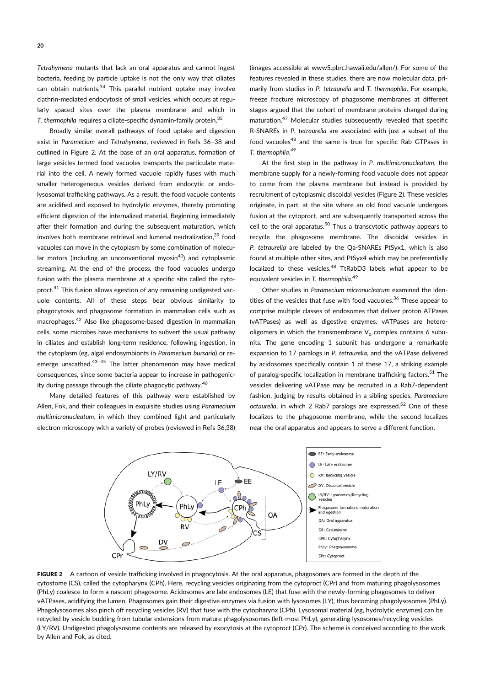*Tetrahymena* mutants that lack an oral apparatus and cannot ingest bacteria, feeding by particle uptake is not the only way that ciliates can obtain nutrients. $34$  This parallel nutrient uptake may involve clathrin-mediated endocytosis of small vesicles, which occurs at regularly spaced sites over the plasma membrane and which in *T. thermophila* requires a ciliate-specific dynamin-family protein.35

Broadly similar overall pathways of food uptake and digestion exist in *Paramecium* and *Tetrahymena*, reviewed in Refs 36–38 and outlined in Figure 2. At the base of an oral apparatus, formation of large vesicles termed food vacuoles transports the particulate material into the cell. A newly formed vacuole rapidly fuses with much smaller heterogeneous vesicles derived from endocytic or endolysosomal trafficking pathways. As a result, the food vacuole contents are acidified and exposed to hydrolytic enzymes, thereby promoting efficient digestion of the internalized material. Beginning immediately after their formation and during the subsequent maturation, which involves both membrane retrieval and lumenal neutralization,<sup>39</sup> food vacuoles can move in the cytoplasm by some combination of molecular motors (including an unconventional myosin<sup>40</sup>) and cytoplasmic streaming. At the end of the process, the food vacuoles undergo fusion with the plasma membrane at a specific site called the cytoproct.<sup>41</sup> This fusion allows egestion of any remaining undigested vacuole contents. All of these steps bear obvious similarity to phagocytosis and phagosome formation in mammalian cells such as macrophages.<sup>42</sup> Also like phagosome-based digestion in mammalian cells, some microbes have mechanisms to subvert the usual pathway in ciliates and establish long-term residence, following ingestion, in the cytoplasm (eg, algal endosymbionts in *Paramecium bursaria*) or reemerge unscathed. $43-45$  The latter phenomenon may have medical consequences, since some bacteria appear to increase in pathogenicity during passage through the ciliate phagocytic pathway.<sup>46</sup>

Many detailed features of this pathway were established by Allen, Fok, and their colleagues in exquisite studies using *Paramecium multimicronucleatum*, in which they combined light and particularly electron microscopy with a variety of probes (reviewed in Refs 36,38)

(images accessible at www5.pbrc.hawaii.edu/allen/). For some of the features revealed in these studies, there are now molecular data, primarily from studies in *P. tetraurelia* and *T. thermophila*. For example, freeze fracture microscopy of phagosome membranes at different stages argued that the cohort of membrane proteins changed during maturation.<sup>47</sup> Molecular studies subsequently revealed that specific R-SNAREs in *P. tetraurelia* are associated with just a subset of the food vacuoles<sup>48</sup> and the same is true for specific Rab GTPases in *T. thermophila*. 49

At the first step in the pathway in *P. multimicronucleatum*, the membrane supply for a newly-forming food vacuole does not appear to come from the plasma membrane but instead is provided by recruitment of cytoplasmic discoidal vesicles (Figure 2). These vesicles originate, in part, at the site where an old food vacuole undergoes fusion at the cytoproct, and are subsequently transported across the cell to the oral apparatus. $50$  Thus a transcytotic pathway appears to recycle the phagosome membrane. The discoidal vesicles in *P. tetraurelia* are labeled by the Qa-SNAREs PtSyx1, which is also found at multiple other sites, and PtSyx4 which may be preferentially localized to these vesicles.<sup>48</sup> TtRabD3 labels what appear to be equivalent vesicles in *T. thermophila*. 49

Other studies in *Paramecium micronucleatum* examined the identities of the vesicles that fuse with food vacuoles.<sup>36</sup> These appear to comprise multiple classes of endosomes that deliver proton ATPases (vATPases) as well as digestive enzymes. vATPases are heterooligomers in which the transmembrane  $V<sub>o</sub>$  complex contains 6 subunits. The gene encoding 1 subunit has undergone a remarkable expansion to 17 paralogs in *P. tetraurelia*, and the vATPase delivered by acidosomes specifically contain 1 of these 17, a striking example of paralog-specific localization in membrane trafficking factors.<sup>51</sup> The vesicles delivering vATPase may be recruited in a Rab7-dependent fashion, judging by results obtained in a sibling species, *Paramecium octaurelia*, in which 2 Rab7 paralogs are expressed.<sup>52</sup> One of these localizes to the phagosome membrane, while the second localizes near the oral apparatus and appears to serve a different function.



FIGURE 2 A cartoon of vesicle trafficking involved in phagocytosis. At the oral apparatus, phagosomes are formed in the depth of the cytostome (CS), called the cytopharynx (CPh). Here, recycling vesicles originating from the cytoproct (CPr) and from maturing phagolysosomes (PhLy) coalesce to form a nascent phagosome. Acidosomes are late endosomes (LE) that fuse with the newly-forming phagosomes to deliver vATPases, acidifying the lumen. Phagosomes gain their digestive enzymes via fusion with lysosomes (LY), thus becoming phagolysosomes (PhLy). Phagolysosomes also pinch off recycling vesicles (RV) that fuse with the cytopharynx (CPh). Lysosomal material (eg, hydrolytic enzymes) can be recycled by vesicle budding from tubular extensions from mature phagolysosomes (left-most PhLy), generating lysosomes/recycling vesicles (LY/RV). Undigested phagolysosome contents are released by exocytosis at the cytoproct (CPr). The scheme is conceived according to the work by Allen and Fok, as cited.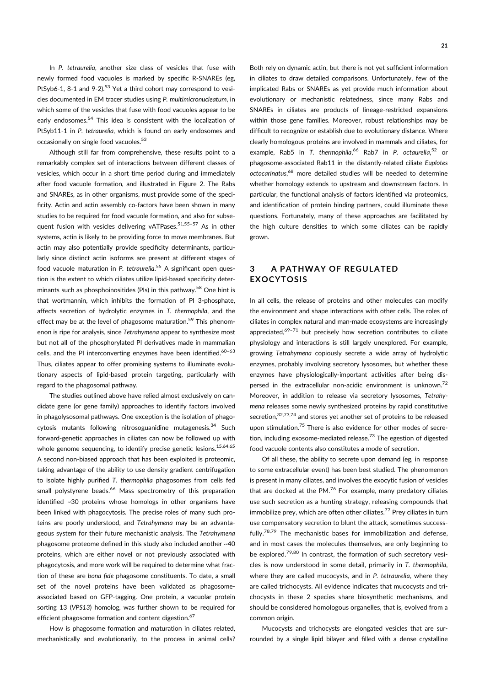In *P. tetraurelia*, another size class of vesicles that fuse with newly formed food vacuoles is marked by specific R-SNAREs (eg, PtSyb6-1, 8-1 and  $9-2$ ).<sup>53</sup> Yet a third cohort may correspond to vesicles documented in EM tracer studies using *P. multimicronucleatum*, in which some of the vesicles that fuse with food vacuoles appear to be early endosomes.<sup>54</sup> This idea is consistent with the localization of PtSyb11-1 in *P. tetraurelia*, which is found on early endosomes and occasionally on single food vacuoles.<sup>53</sup>

Although still far from comprehensive, these results point to a remarkably complex set of interactions between different classes of vesicles, which occur in a short time period during and immediately after food vacuole formation, and illustrated in Figure 2. The Rabs and SNAREs, as in other organisms, must provide some of the specificity. Actin and actin assembly co-factors have been shown in many studies to be required for food vacuole formation, and also for subsequent fusion with vesicles delivering vATPases.<sup>51,55-57</sup> As in other systems, actin is likely to be providing force to move membranes. But actin may also potentially provide specificity determinants, particularly since distinct actin isoforms are present at different stages of food vacuole maturation in *P. tetraurelia*. <sup>55</sup> A significant open question is the extent to which ciliates utilize lipid-based specificity determinants such as phosphoinositides (PIs) in this pathway.<sup>58</sup> One hint is that wortmannin, which inhibits the formation of PI 3-phosphate, affects secretion of hydrolytic enzymes in *T. thermophila*, and the effect may be at the level of phagosome maturation.<sup>59</sup> This phenomenon is ripe for analysis, since *Tetrahymena* appear to synthesize most but not all of the phosphorylated PI derivatives made in mammalian cells, and the PI interconverting enzymes have been identified. $60-63$ Thus, ciliates appear to offer promising systems to illuminate evolutionary aspects of lipid-based protein targeting, particularly with regard to the phagosomal pathway.

The studies outlined above have relied almost exclusively on candidate gene (or gene family) approaches to identify factors involved in phagolysosomal pathways. One exception is the isolation of phagocytosis mutants following nitrosoguanidine mutagenesis.<sup>34</sup> Such forward-genetic approaches in ciliates can now be followed up with whole genome sequencing, to identify precise genetic lesions.  $15,64,65$ A second non-biased approach that has been exploited is proteomic, taking advantage of the ability to use density gradient centrifugation to isolate highly purified *T. thermophila* phagosomes from cells fed small polystyrene beads.<sup>66</sup> Mass spectrometry of this preparation identified ~30 proteins whose homologs in other organisms have been linked with phagocytosis. The precise roles of many such proteins are poorly understood, and *Tetrahymena* may be an advantageous system for their future mechanistic analysis. The *Tetrahymena* phagosome proteome defined in this study also included another ~40 proteins, which are either novel or not previously associated with phagocytosis, and more work will be required to determine what fraction of these are *bona fide* phagosome constituents. To date, a small set of the novel proteins have been validated as phagosomeassociated based on GFP-tagging. One protein, a vacuolar protein sorting 13 (*VPS13*) homolog, was further shown to be required for efficient phagosome formation and content digestion.<sup>67</sup>

How is phagosome formation and maturation in ciliates related, mechanistically and evolutionarily, to the process in animal cells? Both rely on dynamic actin, but there is not yet sufficient information in ciliates to draw detailed comparisons. Unfortunately, few of the implicated Rabs or SNAREs as yet provide much information about evolutionary or mechanistic relatedness, since many Rabs and SNAREs in ciliates are products of lineage-restricted expansions within those gene families. Moreover, robust relationships may be difficult to recognize or establish due to evolutionary distance. Where clearly homologous proteins are involved in mammals and ciliates, for example, Rab5 in *T. thermophila*, <sup>66</sup> Rab7 in *P. octaurelia*, <sup>52</sup> or phagosome-associated Rab11 in the distantly-related ciliate *Euplotes octocarinatus*, <sup>68</sup> more detailed studies will be needed to determine whether homology extends to upstream and downstream factors. In particular, the functional analysis of factors identified via proteomics, and identification of protein binding partners, could illuminate these questions. Fortunately, many of these approaches are facilitated by the high culture densities to which some ciliates can be rapidly grown.

## **3 A PATHWAY OF REGULATED EXOCYTOSIS**

In all cells, the release of proteins and other molecules can modify the environment and shape interactions with other cells. The roles of ciliates in complex natural and man-made ecosystems are increasingly appreciated, $69-71$  but precisely how secretion contributes to ciliate physiology and interactions is still largely unexplored. For example, growing *Tetrahymena* copiously secrete a wide array of hydrolytic enzymes, probably involving secretory lysosomes, but whether these enzymes have physiologically-important activities after being dispersed in the extracellular non-acidic environment is unknown. $72$ Moreover, in addition to release via secretory lysosomes, *Tetrahymena* releases some newly synthesized proteins by rapid constitutive secretion,<sup>32,73,74</sup> and stores yet another set of proteins to be released upon stimulation.<sup>75</sup> There is also evidence for other modes of secretion, including exosome-mediated release.<sup>73</sup> The egestion of digested food vacuole contents also constitutes a mode of secretion.

Of all these, the ability to secrete upon demand (eg, in response to some extracellular event) has been best studied. The phenomenon is present in many ciliates, and involves the exocytic fusion of vesicles that are docked at the PM. $^{76}$  For example, many predatory ciliates use such secretion as a hunting strategy, releasing compounds that immobilize prey, which are often other ciliates.<sup>77</sup> Prey ciliates in turn use compensatory secretion to blunt the attack, sometimes successfully.78,79 The mechanistic bases for immobilization and defense, and in most cases the molecules themselves, are only beginning to be explored.<sup>79,80</sup> In contrast, the formation of such secretory vesicles is now understood in some detail, primarily in *T. thermophila*, where they are called mucocysts, and in *P. tetraurelia*, where they are called trichocysts. All evidence indicates that mucocysts and trichocysts in these 2 species share biosynthetic mechanisms, and should be considered homologous organelles, that is, evolved from a common origin.

Mucocysts and trichocysts are elongated vesicles that are surrounded by a single lipid bilayer and filled with a dense crystalline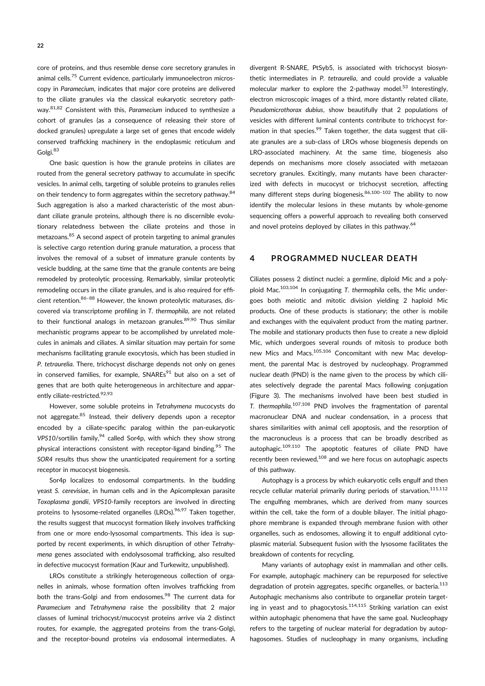core of proteins, and thus resemble dense core secretory granules in animal cells.<sup>75</sup> Current evidence, particularly immunoelectron microscopy in *Paramecium*, indicates that major core proteins are delivered to the ciliate granules via the classical eukaryotic secretory pathway.81,82 Consistent with this, *Paramecium* induced to synthesize a cohort of granules (as a consequence of releasing their store of docked granules) upregulate a large set of genes that encode widely conserved trafficking machinery in the endoplasmic reticulum and Golgi.83

One basic question is how the granule proteins in ciliates are routed from the general secretory pathway to accumulate in specific vesicles. In animal cells, targeting of soluble proteins to granules relies on their tendency to form aggregates within the secretory pathway.<sup>84</sup> Such aggregation is also a marked characteristic of the most abundant ciliate granule proteins, although there is no discernible evolutionary relatedness between the ciliate proteins and those in metazoans.<sup>85</sup> A second aspect of protein targeting to animal granules is selective cargo retention during granule maturation, a process that involves the removal of a subset of immature granule contents by vesicle budding, at the same time that the granule contents are being remodeled by proteolytic processing. Remarkably, similar proteolytic remodeling occurs in the ciliate granules, and is also required for efficient retention. <sup>86–88</sup> However, the known proteolytic maturases, discovered via transcriptome profiling in *T. thermophila*, are not related to their functional analogs in metazoan granules.<sup>89,90</sup> Thus similar mechanistic programs appear to be accomplished by unrelated molecules in animals and ciliates. A similar situation may pertain for some mechanisms facilitating granule exocytosis, which has been studied in *P. tetraurelia*. There, trichocyst discharge depends not only on genes in conserved families, for example,  $SNAREs<sup>91</sup>$  but also on a set of genes that are both quite heterogeneous in architecture and apparently ciliate-restricted.<sup>92,93</sup>

However, some soluble proteins in *Tetrahymena* mucocysts do not aggregate.<sup>85</sup> Instead, their delivery depends upon a receptor encoded by a ciliate-specific paralog within the pan-eukaryotic VPS10/sortilin family,<sup>94</sup> called Sor4p, with which they show strong physical interactions consistent with receptor-ligand binding.<sup>95</sup> The *SOR4* results thus show the unanticipated requirement for a sorting receptor in mucocyst biogenesis.

Sor4p localizes to endosomal compartments. In the budding yeast *S. cerevisiae*, in human cells and in the Apicomplexan parasite *Toxoplasma gondii*, *VPS10*-family receptors are involved in directing proteins to lysosome-related organelles (LROs).<sup>96,97</sup> Taken together, the results suggest that mucocyst formation likely involves trafficking from one or more endo-lysosomal compartments. This idea is supported by recent experiments, in which disruption of other *Tetrahymena* genes associated with endolysosomal trafficking, also resulted in defective mucocyst formation (Kaur and Turkewitz, unpublished).

LROs constitute a strikingly heterogeneous collection of organelles in animals, whose formation often involves trafficking from both the trans-Golgi and from endosomes.<sup>98</sup> The current data for *Paramecium* and *Tetrahymena* raise the possibility that 2 major classes of luminal trichocyst/mucocyst proteins arrive via 2 distinct routes, for example, the aggregated proteins from the trans-Golgi, and the receptor-bound proteins via endosomal intermediates. A

divergent R-SNARE, PtSyb5, is associated with trichocyst biosynthetic intermediates in *P. tetraurelia*, and could provide a valuable molecular marker to explore the 2-pathway model.<sup>53</sup> Interestingly, electron microscopic images of a third, more distantly related ciliate, *Pseudomicrothorax dubius*, show beautifully that 2 populations of vesicles with different luminal contents contribute to trichocyst formation in that species.<sup>99</sup> Taken together, the data suggest that ciliate granules are a sub-class of LROs whose biogenesis depends on LRO-associated machinery. At the same time, biogenesis also depends on mechanisms more closely associated with metazoan secretory granules. Excitingly, many mutants have been characterized with defects in mucocyst or trichocyst secretion, affecting many different steps during biogenesis. $86,100-102$  The ability to now identify the molecular lesions in these mutants by whole-genome sequencing offers a powerful approach to revealing both conserved and novel proteins deployed by ciliates in this pathway.<sup>64</sup>

#### **4 PROGRAMMED NUCLEAR DEATH**

Ciliates possess 2 distinct nuclei: a germline, diploid Mic and a polyploid Mac.103,104 In conjugating *T. thermophila* cells, the Mic undergoes both meiotic and mitotic division yielding 2 haploid Mic products. One of these products is stationary; the other is mobile and exchanges with the equivalent product from the mating partner. The mobile and stationary products then fuse to create a new diploid Mic, which undergoes several rounds of mitosis to produce both new Mics and Macs.<sup>105,106</sup> Concomitant with new Mac development, the parental Mac is destroyed by nucleophagy. Programmed nuclear death (PND) is the name given to the process by which ciliates selectively degrade the parental Macs following conjugation (Figure 3). The mechanisms involved have been best studied in *T. thermophila*. 107,108 PND involves the fragmentation of parental macronuclear DNA and nuclear condensation, in a process that shares similarities with animal cell apoptosis, and the resorption of the macronucleus is a process that can be broadly described as autophagic.109,110 The apoptotic features of ciliate PND have recently been reviewed, $108$  and we here focus on autophagic aspects of this pathway.

Autophagy is a process by which eukaryotic cells engulf and then recycle cellular material primarily during periods of starvation.<sup>111,112</sup> The engulfing membranes, which are derived from many sources within the cell, take the form of a double bilayer. The initial phagophore membrane is expanded through membrane fusion with other organelles, such as endosomes, allowing it to engulf additional cytoplasmic material. Subsequent fusion with the lysosome facilitates the breakdown of contents for recycling.

Many variants of autophagy exist in mammalian and other cells. For example, autophagic machinery can be repurposed for selective degradation of protein aggregates, specific organelles, or bacteria.<sup>113</sup> Autophagic mechanisms also contribute to organellar protein targeting in yeast and to phagocytosis. $114,115$  Striking variation can exist within autophagic phenomena that have the same goal. Nucleophagy refers to the targeting of nuclear material for degradation by autophagosomes. Studies of nucleophagy in many organisms, including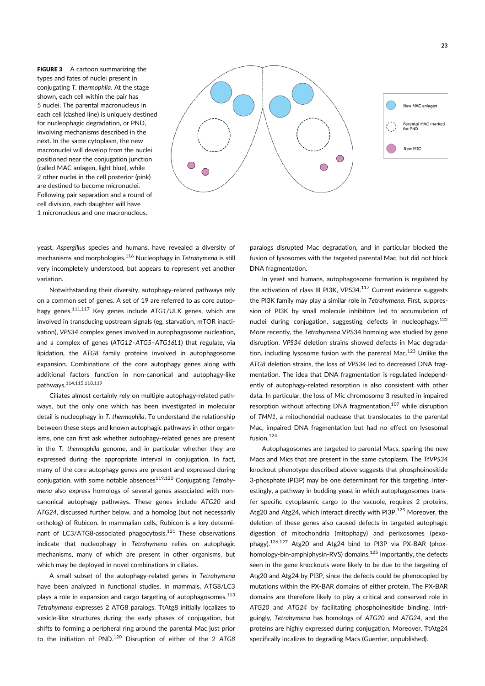FIGURE 3 A cartoon summarizing the types and fates of nuclei present in conjugating *T. thermophila*. At the stage shown, each cell within the pair has 5 nuclei. The parental macronucleus in each cell (dashed line) is uniquely destined for nucleophagic degradation, or PND, involving mechanisms described in the next. In the same cytoplasm, the new macronuclei will develop from the nuclei positioned near the conjugation junction (called MAC anlagen, light blue), while 2 other nuclei in the cell posterior (pink) are destined to become micronuclei. Following pair separation and a round of cell division, each daughter will have 1 micronucleus and one macronucleus.



yeast, *Aspergillus* species and humans, have revealed a diversity of mechanisms and morphologies.116 Nucleophagy in *Tetrahymena* is still very incompletely understood, but appears to represent yet another variation.

Notwithstanding their diversity, autophagy-related pathways rely on a common set of genes. A set of 19 are referred to as core autophagy genes.111,117 Key genes include *ATG1*/ULK genes, which are involved in transducing upstream signals (eg, starvation, mTOR inactivation), *VPS34* complex genes involved in autophagosome nucleation, and a complex of genes (*ATG12–ATG5–ATG16L1*) that regulate, via lipidation, the *ATG8* family proteins involved in autophagosome expansion. Combinations of the core autophagy genes along with additional factors function in non-canonical and autophagy-like pathways. 114,115,118,119

Ciliates almost certainly rely on multiple autophagy-related pathways, but the only one which has been investigated in molecular detail is nucleophagy in *T. thermophila*. To understand the relationship between these steps and known autophagic pathways in other organisms, one can first ask whether autophagy-related genes are present in the *T. thermophila* genome, and in particular whether they are expressed during the appropriate interval in conjugation. In fact, many of the core autophagy genes are present and expressed during conjugation, with some notable absences<sup>119,120</sup> Conjugating Tetrahy*mena* also express homologs of several genes associated with noncanonical autophagy pathways. These genes include *ATG20* and *ATG24*, discussed further below, and a homolog (but not necessarily ortholog) of Rubicon. In mammalian cells, Rubicon is a key determinant of LC3/ATG8-associated phagocytosis.<sup>121</sup> These observations indicate that nucleophagy in *Tetrahymena* relies on autophagic mechanisms, many of which are present in other organisms, but which may be deployed in novel combinations in ciliates.

A small subset of the autophagy-related genes in *Tetrahymena* have been analyzed in functional studies. In mammals, ATG8/LC3 plays a role in expansion and cargo targeting of autophagosomes.<sup>113</sup> *Tetrahymena* expresses 2 ATG8 paralogs. TtAtg8 initially localizes to vesicle-like structures during the early phases of conjugation, but shifts to forming a peripheral ring around the parental Mac just prior to the initiation of PND.120 Disruption of either of the 2 *ATG8*

paralogs disrupted Mac degradation, and in particular blocked the fusion of lysosomes with the targeted parental Mac, but did not block DNA fragmentation.

In yeast and humans, autophagosome formation is regulated by the activation of class III PI3K, VPS34.<sup>117</sup> Current evidence suggests the PI3K family may play a similar role in *Tetrahymena*. First, suppression of PI3K by small molecule inhibitors led to accumulation of nuclei during conjugation, suggesting defects in nucleophagy.122 More recently, the *Tetrahymena* VPS34 homolog was studied by gene disruption. *VPS34* deletion strains showed defects in Mac degradation, including lysosome fusion with the parental Mac.<sup>123</sup> Unlike the *ATG8* deletion strains, the loss of *VPS34* led to decreased DNA fragmentation. The idea that DNA fragmentation is regulated independently of autophagy-related resorption is also consistent with other data. In particular, the loss of Mic chromosome 3 resulted in impaired resorption without affecting DNA fragmentation,<sup>107</sup> while disruption of *TMN1*, a mitochondrial nuclease that translocates to the parental Mac, impaired DNA fragmentation but had no effect on lysosomal fusion.<sup>124</sup>

Autophagosomes are targeted to parental Macs, sparing the new Macs and Mics that are present in the same cytoplasm. The *TtVPS34* knockout phenotype described above suggests that phosphoinositide 3-phosphate (PI3P) may be one determinant for this targeting. Interestingly, a pathway in budding yeast in which autophagosomes transfer specific cytoplasmic cargo to the vacuole, requires 2 proteins, Atg20 and Atg24, which interact directly with PI3P.<sup>125</sup> Moreover, the deletion of these genes also caused defects in targeted autophagic digestion of mitochondria (mitophagy) and perixosomes (pexophagy).126,127 Atg20 and Atg24 bind to PI3P via PX-BAR (phoxhomology-bin-amphiphysin-RVS) domains.<sup>125</sup> Importantly, the defects seen in the gene knockouts were likely to be due to the targeting of Atg20 and Atg24 by PI3P, since the defects could be phenocopied by mutations within the PX-BAR domains of either protein. The PX-BAR domains are therefore likely to play a critical and conserved role in *ATG20* and *ATG24* by facilitating phosphoinositide binding. Intriguingly, *Tetrahymena* has homologs of *ATG20* and *ATG24*, and the proteins are highly expressed during conjugation. Moreover, TtAtg24 specifically localizes to degrading Macs (Guerrier, unpublished).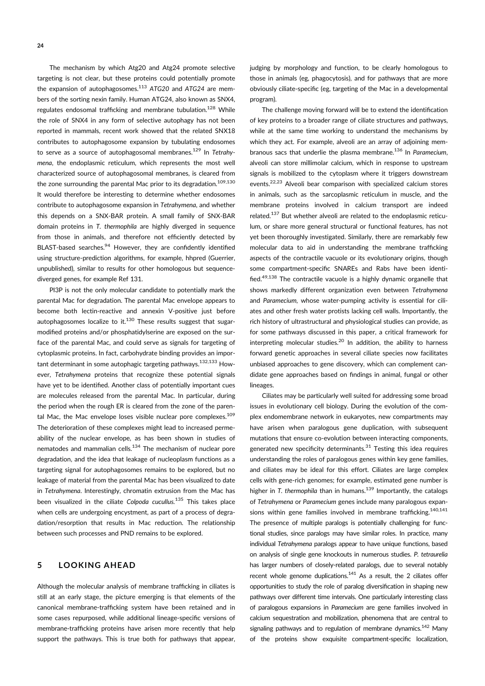**24**

The mechanism by which Atg20 and Atg24 promote selective targeting is not clear, but these proteins could potentially promote the expansion of autophagosomes.113 *ATG20* and *ATG24* are members of the sorting nexin family. Human ATG24, also known as SNX4, regulates endosomal trafficking and membrane tubulation.<sup>128</sup> While the role of SNX4 in any form of selective autophagy has not been reported in mammals, recent work showed that the related SNX18 contributes to autophagosome expansion by tubulating endosomes to serve as a source of autophagosomal membranes.129 In *Tetrahymena*, the endoplasmic reticulum, which represents the most well characterized source of autophagosomal membranes, is cleared from the zone surrounding the parental Mac prior to its degradation.<sup>109,130</sup> It would therefore be interesting to determine whether endosomes contribute to autophagosome expansion in *Tetrahymena*, and whether this depends on a SNX-BAR protein. A small family of SNX-BAR domain proteins in *T. thermophila* are highly diverged in sequence from those in animals, and therefore not efficiently detected by BLAST-based searches.<sup>94</sup> However, they are confidently identified using structure-prediction algorithms, for example, hhpred (Guerrier, unpublished), similar to results for other homologous but sequencediverged genes, for example Ref 131.

PI3P is not the only molecular candidate to potentially mark the parental Mac for degradation. The parental Mac envelope appears to become both lectin-reactive and annexin V-positive just before autophagosomes localize to it. $130$  These results suggest that sugarmodified proteins and/or phosphatidylserine are exposed on the surface of the parental Mac, and could serve as signals for targeting of cytoplasmic proteins. In fact, carbohydrate binding provides an important determinant in some autophagic targeting pathways.<sup>132,133</sup> However, *Tetrahymena* proteins that recognize these potential signals have yet to be identified. Another class of potentially important cues are molecules released from the parental Mac. In particular, during the period when the rough ER is cleared from the zone of the parental Mac, the Mac envelope loses visible nuclear pore complexes.<sup>109</sup> The deterioration of these complexes might lead to increased permeability of the nuclear envelope, as has been shown in studies of nematodes and mammalian cells.<sup>134</sup> The mechanism of nuclear pore degradation, and the idea that leakage of nucleoplasm functions as a targeting signal for autophagosomes remains to be explored, but no leakage of material from the parental Mac has been visualized to date in *Tetrahymena*. Interestingly, chromatin extrusion from the Mac has been visualized in the ciliate *Colpoda cucullus.*<sup>135</sup> This takes place when cells are undergoing encystment, as part of a process of degradation/resorption that results in Mac reduction. The relationship between such processes and PND remains to be explored.

## **5 LOOKING AHEAD**

Although the molecular analysis of membrane trafficking in ciliates is still at an early stage, the picture emerging is that elements of the canonical membrane-trafficking system have been retained and in some cases repurposed, while additional lineage-specific versions of membrane-trafficking proteins have arisen more recently that help support the pathways. This is true both for pathways that appear,

judging by morphology and function, to be clearly homologous to those in animals (eg, phagocytosis), and for pathways that are more obviously ciliate-specific (eg, targeting of the Mac in a developmental program).

The challenge moving forward will be to extend the identification of key proteins to a broader range of ciliate structures and pathways, while at the same time working to understand the mechanisms by which they act. For example, alveoli are an array of adjoining membranous sacs that underlie the plasma membrane.136 In *Paramecium*, alveoli can store millimolar calcium, which in response to upstream signals is mobilized to the cytoplasm where it triggers downstream events.<sup>22,23</sup> Alveoli bear comparison with specialized calcium stores in animals, such as the sarcoplasmic reticulum in muscle, and the membrane proteins involved in calcium transport are indeed related.137 But whether alveoli are related to the endoplasmic reticulum, or share more general structural or functional features, has not yet been thoroughly investigated. Similarly, there are remarkably few molecular data to aid in understanding the membrane trafficking aspects of the contractile vacuole or its evolutionary origins, though some compartment-specific SNAREs and Rabs have been identified.49,138 The contractile vacuole is a highly dynamic organelle that shows markedly different organization even between *Tetrahymena* and *Paramecium*, whose water-pumping activity is essential for ciliates and other fresh water protists lacking cell walls. Importantly, the rich history of ultrastructural and physiological studies can provide, as for some pathways discussed in this paper, a critical framework for interpreting molecular studies. $^{20}$  In addition, the ability to harness forward genetic approaches in several ciliate species now facilitates unbiased approaches to gene discovery, which can complement candidate gene approaches based on findings in animal, fungal or other lineages.

Ciliates may be particularly well suited for addressing some broad issues in evolutionary cell biology. During the evolution of the complex endomembrane network in eukaryotes, new compartments may have arisen when paralogous gene duplication, with subsequent mutations that ensure co-evolution between interacting components, generated new specificity determinants. $31$  Testing this idea requires understanding the roles of paralogous genes within key gene families, and ciliates may be ideal for this effort. Ciliates are large complex cells with gene-rich genomes; for example, estimated gene number is higher in *T. thermophila* than in humans.<sup>139</sup> Importantly, the catalogs of *Tetrahymena* or *Paramecium* genes include many paralogous expansions within gene families involved in membrane trafficking.<sup>140,141</sup> The presence of multiple paralogs is potentially challenging for functional studies, since paralogs may have similar roles. In practice, many individual *Tetrahymena* paralogs appear to have unique functions, based on analysis of single gene knockouts in numerous studies. *P. tetraurelia* has larger numbers of closely-related paralogs, due to several notably recent whole genome duplications.<sup>141</sup> As a result, the 2 ciliates offer opportunities to study the role of paralog diversification in shaping new pathways over different time intervals. One particularly interesting class of paralogous expansions in *Paramecium* are gene families involved in calcium sequestration and mobilization, phenomena that are central to signaling pathways and to regulation of membrane dynamics.<sup>142</sup> Many of the proteins show exquisite compartment-specific localization,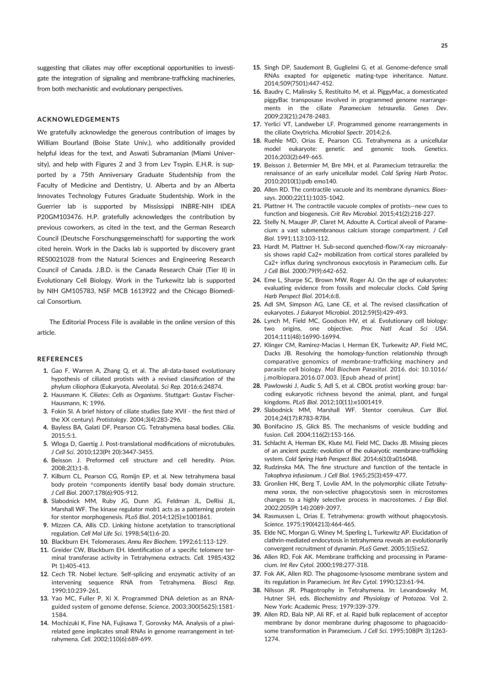suggesting that ciliates may offer exceptional opportunities to investigate the integration of signaling and membrane-trafficking machineries, from both mechanistic and evolutionary perspectives.

#### **ACKNOWLEDGEMENTS**

We gratefully acknowledge the generous contribution of images by William Bourland (Boise State Univ.), who additionally provided helpful ideas for the text, and Aswati Subramanian (Miami University), and help with Figures 2 and 3 from Lev Tsypin. E.H.R. is supported by a 75th Anniversary Graduate Studentship from the Faculty of Medicine and Dentistry, U. Alberta and by an Alberta Innovates Technology Futures Graduate Studentship. Work in the Guerrier lab is supported by Mississippi INBRE-NIH IDEA P20GM103476. H.P. gratefully acknowledges the contribution by previous coworkers, as cited in the text, and the German Research Council (Deutsche Forschungsgemeinschaft) for supporting the work cited herein. Work in the Dacks lab is supported by discovery grant RES0021028 from the Natural Sciences and Engineering Research Council of Canada. J.B.D. is the Canada Research Chair (Tier II) in Evolutionary Cell Biology. Work in the Turkewitz lab is supported by NIH GM105783, NSF MCB 1613922 and the Chicago Biomedical Consortium.

The Editorial Process File is available in the online version of this article.

#### **REFERENCES**

- **1.** Gao F, Warren A, Zhang Q, et al. The all-data-based evolutionary hypothesis of ciliated protists with a revised classification of the phylum ciliophora (Eukaryota, Alveolata). *Sci Rep*. 2016;6:24874.
- **2.** Hausmann K. *Ciliates: Cells as Organisms*. Stuttgart: Gustav Fischer-Hausmann, K; 1996.
- **3.** Fokin SI. A brief history of ciliate studies (late XVII the first third of the XX century). *Protistology*. 2004;3(4):283-296.
- **4.** Bayless BA, Galati DF, Pearson CG. Tetrahymena basal bodies. *Cilia*.  $2015.5.1$
- **5.** Wloga D, Gaertig J. Post-translational modifications of microtubules. *J Cell Sci*. 2010;123(Pt 20):3447-3455.
- **6.** Beisson J. Preformed cell structure and cell heredity. *Prion*. 2008;2(1):1-8.
- **7.** Kilburn CL, Pearson CG, Romijn EP, et al. New tetrahymena basal body protein \*components identify basal body domain structure. *J Cell Biol*. 2007;178(6):905-912.
- **8.** Slabodnick MM, Ruby JG, Dunn JG, Feldman JL, DeRisi JL, Marshall WF. The kinase regulator mob1 acts as a patterning protein for stentor morphogenesis. *PLoS Biol*. 2014;12(5):e1001861.
- **9.** Mizzen CA, Allis CD. Linking histone acetylation to transcriptional regulation. *Cell Mol Life Sci*. 1998;54(1):6-20.
- **10.** Blackburn EH. Telomerases. *Annu Rev Biochem*. 1992;61:113-129.
- **11.** Greider CW, Blackburn EH. Identification of a specific telomere terminal transferase activity in Tetrahymena extracts. *Cell*. 1985;43(2 Pt 1):405-413.
- **12.** Cech TR. Nobel lecture. Self-splicing and enzymatic activity of an intervening sequence RNA from Tetrahymena. *Biosci Rep*. 1990;10:239-261.
- **13.** Yao MC, Fuller P, Xi X. Programmed DNA deletion as an RNAguided system of genome defense. *Science*. 2003;300(5625):1581- 1584.
- **14.** Mochizuki K, Fine NA, Fujisawa T, Gorovsky MA. Analysis of a piwirelated gene implicates small RNAs in genome rearrangement in tetrahymena. *Cell*. 2002;110(6):689-699.
- **15.** Singh DP, Saudemont B, Guglielmi G, et al. Genome-defence small RNAs exapted for epigenetic mating-type inheritance. *Nature*. 2014;509(7501):447-452.
- **16.** Baudry C, Malinsky S, Restituito M, et al. PiggyMac, a domesticated piggyBac transposase involved in programmed genome rearrangements in the ciliate *Paramecium tetraurelia*. *Genes Dev*. 2009;23(21):2478-2483.
- **17.** Yerlici VT, Landweber LF. Programmed genome rearrangements in the ciliate Oxytricha. *Microbiol Spectr*. 2014;2:6.
- **18.** Ruehle MD, Orias E, Pearson CG. Tetrahymena as a unicellular model eukaryote: genetic and genomic tools. *Genetics*. 2016;203(2):649-665.
- **19.** Beisson J, Betermier M, Bre MH, et al. Paramecium tetraurelia: the renaissance of an early unicellular model. *Cold Spring Harb Protoc*. 2010;2010(1):pdb emo140.
- **20.** Allen RD. The contractile vacuole and its membrane dynamics. *Bioessays*. 2000;22(11):1035-1042.
- **21.** Plattner H. The contractile vacuole complex of protists--new cues to function and biogenesis. *Crit Rev Microbiol*. 2015;41(2):218-227.
- **22.** Stelly N, Mauger JP, Claret M, Adoutte A. Cortical alveoli of Paramecium: a vast submembranous calcium storage compartment. *J Cell Biol*. 1991;113:103-112.
- **23.** Hardt M, Plattner H. Sub-second quenched-flow/X-ray microanalysis shows rapid Ca2+ mobilization from cortical stores paralleled by Ca2+ influx during synchronous exocytosis in Paramecium cells. *Eur J Cell Biol*. 2000;79(9):642-652.
- **24.** Eme L, Sharpe SC, Brown MW, Roger AJ. On the age of eukaryotes: evaluating evidence from fossils and molecular clocks. *Cold Spring Harb Perspect Biol*. 2014;6:8.
- **25.** Adl SM, Simpson AG, Lane CE, et al. The revised classification of eukaryotes. *J Eukaryot Microbiol*. 2012;59(5):429-493.
- **26.** Lynch M, Field MC, Goodson HV, et al. Evolutionary cell biology: two origins, one objective. *Proc Natl Acad Sci USA*. 2014;111(48):16990-16994.
- **27.** Klinger CM, Ramirez-Macias I, Herman EK, Turkewitz AP, Field MC, Dacks JB. Resolving the homology-function relationship through comparative genomics of membrane-trafficking machinery and parasite cell biology. *Mol Biochem Parasitol*. 2016. doi: 10.1016/ j.molbiopara.2016.07.003. [Epub ahead of print]
- **28.** Pawlowski J, Audic S, Adl S, et al. CBOL protist working group: barcoding eukaryotic richness beyond the animal, plant, and fungal kingdoms. *PLoS Biol*. 2012;10(11):e1001419.
- **29.** Slabodnick MM, Marshall WF. Stentor coeruleus. *Curr Biol*. 2014;24(17):R783-R784.
- **30.** Bonifacino JS, Glick BS. The mechanisms of vesicle budding and fusion. *Cell*. 2004;116(2):153-166.
- **31.** Schlacht A, Herman EK, Klute MJ, Field MC, Dacks JB. Missing pieces of an ancient puzzle: evolution of the eukaryotic membrane-trafficking system. *Cold Spring Harb Perspect Biol*. 2014;6(10):a016048.
- **32.** Rudzinska MA. The fine structure and function of the tentacle in *Tokophrya infusionum*. *J Cell Biol*. 1965;25(3):459-477.
- **33.** Gronlien HK, Berg T, Lovlie AM. In the polymorphic ciliate *Tetrahymena vorax*, the non-selective phagocytosis seen in microstomes changes to a highly selective process in macrostomes. *J Exp Biol*. 2002;205(Pt 14):2089-2097.
- **34.** Rasmussen L, Orias E. Tetrahymena: growth without phagocytosis. *Science*. 1975;190(4213):464-465.
- **35.** Elde NC, Morgan G, Winey M, Sperling L, Turkewitz AP. Elucidation of clathrin-mediated endocytosis in tetrahymena reveals an evolutionarily convergent recruitment of dynamin. *PLoS Genet*. 2005;1(5):e52.
- **36.** Allen RD, Fok AK. Membrane trafficking and processing in Paramecium. *Int Rev Cytol*. 2000;198:277-318.
- **37.** Fok AK, Allen RD. The phagosome-lysosome membrane system and its regulation in Paramecium. *Int Rev Cytol*. 1990;123:61-94.
- **38.** Nilsson JR. Phagotrophy in Tetrahymena. In: Levandowsky M, Hutner SH, eds. *Biochemistry and Physiology of Protozoa*. Vol 2. New York: Academic Press; 1979:339-379.
- **39.** Allen RD, Bala NP, Ali RF, et al. Rapid bulk replacement of acceptor membrane by donor membrane during phagosome to phagoacidosome transformation in Paramecium. *J Cell Sci*. 1995;108(Pt 3):1263- 1274.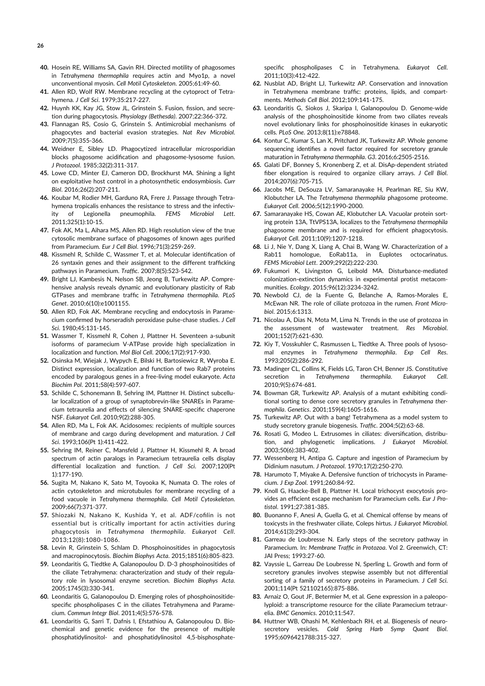- **40.** Hosein RE, Williams SA, Gavin RH. Directed motility of phagosomes in *Tetrahymena thermophila* requires actin and Myo1p, a novel unconventional myosin. *Cell Motil Cytoskeleton*. 2005;61:49-60.
- **41.** Allen RD, Wolf RW. Membrane recycling at the cytoproct of Tetrahymena. *J Cell Sci*. 1979;35:217-227.
- **42.** Huynh KK, Kay JG, Stow JL, Grinstein S. Fusion, fission, and secretion during phagocytosis. *Physiology (Bethesda)*. 2007;22:366-372.
- **43.** Flannagan RS, Cosío G, Grinstein S. Antimicrobial mechanisms of phagocytes and bacterial evasion strategies. *Nat Rev Microbiol*. 2009;7(5):355-366.
- **44.** Weidner E, Sibley LD. Phagocytized intracellular microsporidian blocks phagosome acidification and phagosome-lysosome fusion. *J Protozool*. 1985;32(2):311-317.
- **45.** Lowe CD, Minter EJ, Cameron DD, Brockhurst MA. Shining a light on exploitative host control in a photosynthetic endosymbiosis. *Curr Biol*. 2016;26(2):207-211.
- **46.** Koubar M, Rodier MH, Garduno RA, Frere J. Passage through Tetrahymena tropicalis enhances the resistance to stress and the infectivity of Legionella pneumophila. *FEMS Microbiol Lett*. 2011;325(1):10-15.
- **47.** Fok AK, Ma L, Aihara MS, Allen RD. High resolution view of the true cytosolic membrane surface of phagosomes of known ages purified from Paramecium. *Eur J Cell Biol*. 1996;71(3):259-269.
- **48.** Kissmehl R, Schilde C, Wassmer T, et al. Molecular identification of 26 syntaxin genes and their assignment to the different trafficking pathways in Paramecium. *Traffic*. 2007;8(5):523-542.
- **49.** Bright LJ, Kambesis N, Nelson SB, Jeong B, Turkewitz AP. Comprehensive analysis reveals dynamic and evolutionary plasticity of Rab GTPases and membrane traffic in *Tetrahymena thermophila*. *PLoS Genet*. 2010;6(10):e1001155.
- **50.** Allen RD, Fok AK. Membrane recycling and endocytosis in Paramecium confirmed by horseradish peroxidase pulse-chase studies. *J Cell Sci*. 1980;45:131-145.
- **51.** Wassmer T, Kissmehl R, Cohen J, Plattner H. Seventeen a-subunit isoforms of paramecium V-ATPase provide high specialization in localization and function. *Mol Biol Cell*. 2006;17(2):917-930.
- **52.** Osinska M, Wiejak J, Wypych E, Bilski H, Bartosiewicz R, Wyroba E. Distinct expression, localization and function of two Rab7 proteins encoded by paralogous genes in a free-living model eukaryote. *Acta Biochim Pol*. 2011;58(4):597-607.
- **53.** Schilde C, Schonemann B, Sehring IM, Plattner H. Distinct subcellular localization of a group of synaptobrevin-like SNAREs in Paramecium tetraurelia and effects of silencing SNARE-specific chaperone NSF. *Eukaryot Cell*. 2010;9(2):288-305.
- **54.** Allen RD, Ma L, Fok AK. Acidosomes: recipients of multiple sources of membrane and cargo during development and maturation. *J Cell Sci*. 1993;106(Pt 1):411-422.
- **55.** Sehring IM, Reiner C, Mansfeld J, Plattner H, Kissmehl R. A broad spectrum of actin paralogs in Paramecium tetraurelia cells display differential localization and function. *J Cell Sci*. 2007;120(Pt 1):177-190.
- **56.** Sugita M, Nakano K, Sato M, Toyooka K, Numata O. The roles of actin cytoskeleton and microtubules for membrane recycling of a food vacuole in *Tetrahymena thermophila*. *Cell Motil Cytoskeleton*. 2009;66(7):371-377.
- **57.** Shiozaki N, Nakano K, Kushida Y, et al. ADF/cofilin is not essential but is critically important for actin activities during phagocytosis in *Tetrahymena thermophila*. *Eukaryot Cell*. 2013;12(8):1080-1086.
- **58.** Levin R, Grinstein S, Schlam D. Phosphoinositides in phagocytosis and macropinocytosis. *Biochim Biophys Acta*. 2015;1851(6):805-823.
- **59.** Leondaritis G, Tiedtke A, Galanopoulou D. D-3 phosphoinositides of the ciliate Tetrahymena: characterization and study of their regulatory role in lysosomal enzyme secretion. *Biochim Biophys Acta*. 2005;1745(3):330-341.
- **60.** Leondaritis G, Galanopoulou D. Emerging roles of phosphoinositidespecific phospholipases C in the ciliates Tetrahymena and Paramecium. *Commun Integr Biol*. 2011;4(5):576-578.
- **61.** Leondaritis G, Sarri T, Dafnis I, Efstathiou A, Galanopoulou D. Biochemical and genetic evidence for the presence of multiple phosphatidylinositol- and phosphatidylinositol 4,5-bisphosphate-

specific phospholipases C in Tetrahymena. *Eukaryot Cell*. 2011;10(3):412-422.

- **62.** Nusblat AD, Bright LJ, Turkewitz AP. Conservation and innovation in Tetrahymena membrane traffic: proteins, lipids, and compartments. *Methods Cell Biol*. 2012;109:141-175.
- **63.** Leondaritis G, Siokos J, Skaripa I, Galanopoulou D. Genome-wide analysis of the phosphoinositide kinome from two ciliates reveals novel evolutionary links for phosphoinositide kinases in eukaryotic cells. *PLoS One*. 2013;8(11):e78848.
- **64.** Kontur C, Kumar S, Lan X, Pritchard JK, Turkewitz AP. Whole genome sequencing identifies a novel factor required for secretory granule maturation in *Tetrahymena thermophila*. *G3*. 2016;6:2505-2516.
- **65.** Galati DF, Bonney S, Kronenberg Z, et al. DisAp-dependent striated fiber elongation is required to organize ciliary arrays. *J Cell Biol*. 2014;207(6):705-715.
- **66.** Jacobs ME, DeSouza LV, Samaranayake H, Pearlman RE, Siu KW, Klobutcher LA. The *Tetrahymena thermophila* phagosome proteome. *Eukaryot Cell*. 2006;5(12):1990-2000.
- **67.** Samaranayake HS, Cowan AE, Klobutcher LA. Vacuolar protein sorting protein 13A, TtVPS13A, localizes to the *Tetrahymena thermophila* phagosome membrane and is required for efficient phagocytosis. *Eukaryot Cell*. 2011;10(9):1207-1218.
- **68.** Li J, Nie Y, Dang X, Liang A, Chai B, Wang W. Characterization of a Rab11 homologue, EoRab11a, in Euplotes octocarinatus. *FEMS Microbiol Lett*. 2009;292(2):222-230.
- **69.** Fukumori K, Livingston G, Leibold MA. Disturbance-mediated colonization-extinction dynamics in experimental protist metacommunities. *Ecology*. 2015;96(12):3234-3242.
- **70.** Newbold CJ, de la Fuente G, Belanche A, Ramos-Morales E, McEwan NR. The role of ciliate protozoa in the rumen. *Front Microbiol*. 2015;6:1313.
- **71.** Nicolau A, Dias N, Mota M, Lima N. Trends in the use of protozoa in the assessment of wastewater treatment. *Res Microbiol*. 2001;152(7):621-630.
- **72.** Kiy T, Vosskuhler C, Rasmussen L, Tiedtke A. Three pools of lysosomal enzymes in *Tetrahymena thermophila*. *Exp Cell Res*. 1993;205(2):286-292.
- **73.** Madinger CL, Collins K, Fields LG, Taron CH, Benner JS. Constitutive secretion in *Tetrahymena thermophila*. *Eukaryot Cell*. 2010;9(5):674-681.
- **74.** Bowman GR, Turkewitz AP. Analysis of a mutant exhibiting conditional sorting to dense core secretory granules in *Tetrahymena thermophila*. *Genetics*. 2001;159(4):1605-1616.
- **75.** Turkewitz AP. Out with a bang! Tetrahymena as a model system to study secretory granule biogenesis. *Traffic*. 2004;5(2):63-68.
- **76.** Rosati G, Modeo L. Extrusomes in ciliates: diversification, distribution, and phylogenetic implications. *J Eukaryot Microbiol*. 2003;50(6):383-402.
- **77.** Wessenberg H, Antipa G. Capture and ingestion of Paramecium by Didinium nasutum. *J Protozool*. 1970;17(2):250-270.
- **78.** Harumoto T, Miyake A. Defensive function of trichocysts in Paramecium. *J Exp Zool*. 1991;260:84-92.
- **79.** Knoll G, Haacke-Bell B, Plattner H. Local trichocyst exocytosis provides an efficient escape mechanism for Paramecium cells. *Eur J Protistol*. 1991;27:381-385.
- **80.** Buonanno F, Anesi A, Guella G, et al. Chemical offense by means of toxicysts in the freshwater ciliate, Coleps hirtus. *J Eukaryot Microbiol*. 2014;61(3):293-304.
- **81.** Garreau de Loubresse N. Early steps of the secretory pathway in Paramecium. In: *Membrane Traffic in Protozoa*. Vol 2. Greenwich, CT: JAI Press; 1993:27-60.
- **82.** Vayssie L, Garreau De Loubresse N, Sperling L. Growth and form of secretory granules involves stepwise assembly but not differential sorting of a family of secretory proteins in Paramecium. *J Cell Sci*. 2001;114(Pt 521102165):875-886.
- **83.** Arnaiz O, Gout JF, Betermier M, et al. Gene expression in a paleopolyploid: a transcriptome resource for the ciliate Paramecium tetraurelia. *BMC Genomics*. 2010;11:547.
- **84.** Huttner WB, Ohashi M, Kehlenbach RH, et al. Biogenesis of neurosecretory vesicles. *Cold Spring Harb Symp Quant Biol*. 1995;6096421788:315-327.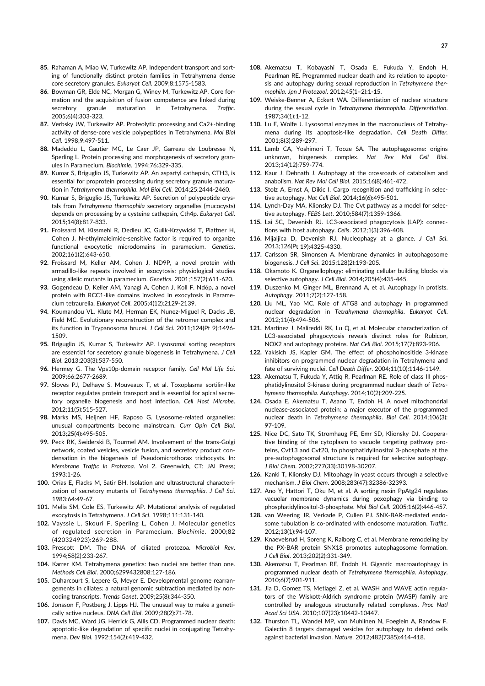- **85.** Rahaman A, Miao W, Turkewitz AP. Independent transport and sorting of functionally distinct protein families in Tetrahymena dense core secretory granules. *Eukaryot Cell*. 2009;8:1575-1583.
- **86.** Bowman GR, Elde NC, Morgan G, Winey M, Turkewitz AP. Core formation and the acquisition of fusion competence are linked during secretory granule maturation in Tetrahymena. *Traffic*. 2005;6(4):303-323.
- **87.** Verbsky JW, Turkewitz AP. Proteolytic processing and Ca2+-binding activity of dense-core vesicle polypeptides in Tetrahymena. *Mol Biol Cell*. 1998;9:497-511.
- **88.** Madeddu L, Gautier MC, Le Caer JP, Garreau de Loubresse N, Sperling L. Protein processing and morphogenesis of secretory granules in Paramecium. *Biochimie*. 1994;76:329-335.
- **89.** Kumar S, Briguglio JS, Turkewitz AP. An aspartyl cathepsin, CTH3, is essential for proprotein processing during secretory granule maturation in *Tetrahymena thermophila*. *Mol Biol Cell*. 2014;25:2444-2460.
- **90.** Kumar S, Briguglio JS, Turkewitz AP. Secretion of polypeptide crystals from *Tetrahymena thermophila* secretory organelles (mucocysts) depends on processing by a cysteine cathepsin, Cth4p. *Eukaryot Cell*. 2015;14(8):817-833.
- **91.** Froissard M, Kissmehl R, Dedieu JC, Gulik-Krzywicki T, Plattner H, Cohen J. N-ethylmaleimide-sensitive factor is required to organize functional exocytotic microdomains in paramecium. *Genetics*. 2002;161(2):643-650.
- **92.** Froissard M, Keller AM, Cohen J. ND9P, a novel protein with armadillo-like repeats involved in exocytosis: physiological studies using allelic mutants in paramecium. *Genetics*. 2001;157(2):611-620.
- **93.** Gogendeau D, Keller AM, Yanagi A, Cohen J, Koll F. Nd6p, a novel protein with RCC1-like domains involved in exocytosis in Paramecium tetraurelia. *Eukaryot Cell*. 2005;4(12):2129-2139.
- **94.** Koumandou VL, Klute MJ, Herman EK, Nunez-Miguel R, Dacks JB, Field MC. Evolutionary reconstruction of the retromer complex and its function in Trypanosoma brucei. *J Cell Sci*. 2011;124(Pt 9):1496- 1509.
- **95.** Briguglio JS, Kumar S, Turkewitz AP. Lysosomal sorting receptors are essential for secretory granule biogenesis in Tetrahymena. *J Cell Biol*. 2013;203(3):537-550.
- **96.** Hermey G. The Vps10p-domain receptor family. *Cell Mol Life Sci*. 2009;66:2677-2689.
- **97.** Sloves PJ, Delhaye S, Mouveaux T, et al. Toxoplasma sortilin-like receptor regulates protein transport and is essential for apical secretory organelle biogenesis and host infection. *Cell Host Microbe*. 2012;11(5):515-527.
- **98.** Marks MS, Heijnen HF, Raposo G. Lysosome-related organelles: unusual compartments become mainstream. *Curr Opin Cell Biol*. 2013;25(4):495-505.
- **99.** Peck RK, Swiderski B, Tourmel AM. Involvement of the trans-Golgi network, coated vesicles, vesicle fusion, and secretory product condensation in the biogenesis of Pseudomicrothorax trichocysts. In: *Membrane Traffic in Protozoa*. Vol 2. Greenwich, CT: JAI Press; 1993:1-26.
- **100.** Orias E, Flacks M, Satir BH. Isolation and ultrastructural characterization of secretory mutants of *Tetrahymena thermophila*. *J Cell Sci*. 1983;64:49-67.
- **101.** Melia SM, Cole ES, Turkewitz AP. Mutational analysis of regulated exocytosis in Tetrahymena. *J Cell Sci*. 1998;111:131-140.
- **102.** Vayssie L, Skouri F, Sperling L, Cohen J. Molecular genetics of regulated secretion in Paramecium. *Biochimie*. 2000;82 (420324923):269-288.
- **103.** Prescott DM. The DNA of ciliated protozoa. *Microbiol Rev*. 1994;58(2):233-267.
- **104.** Karrer KM. Tetrahymena genetics: two nuclei are better than one. *Methods Cell Biol*. 2000;6299432808:127-186.
- **105.** Duharcourt S, Lepere G, Meyer E. Developmental genome rearrangements in ciliates: a natural genomic subtraction mediated by noncoding transcripts. *Trends Genet*. 2009;25(8):344-350.
- **106.** Jonsson F, Postberg J, Lipps HJ. The unusual way to make a genetically active nucleus. *DNA Cell Biol*. 2009;28(2):71-78.
- **107.** Davis MC, Ward JG, Herrick G, Allis CD. Programmed nuclear death: apoptotic-like degradation of specific nuclei in conjugating Tetrahymena. *Dev Biol*. 1992;154(2):419-432.
- **108.** Akematsu T, Kobayashi T, Osada E, Fukuda Y, Endoh H, Pearlman RE. Programmed nuclear death and its relation to apoptosis and autophagy during sexual reproduction in *Tetrahymena thermophila*. *Jpn J Protozool*. 2012;45(1–2):1-15.
- **109.** Weiske-Benner A, Eckert WA. Differentiation of nuclear structure during the sexual cycle in *Tetrahymena thermophila*. *Differentiation*. 1987;34(1):1-12.
- **110.** Lu E, Wolfe J. Lysosomal enzymes in the macronucleus of Tetrahymena during its apoptosis-like degradation. *Cell Death Differ*. 2001;8(3):289-297.
- **111.** Lamb CA, Yoshimori T, Tooze SA. The autophagosome: origins unknown, biogenesis complex. *Nat Rev Mol Cell Biol*. 2013;14(12):759-774.
- **112.** Kaur J, Debnath J. Autophagy at the crossroads of catabolism and anabolism. *Nat Rev Mol Cell Biol*. 2015;16(8):461-472.
- **113.** Stolz A, Ernst A, Dikic I. Cargo recognition and trafficking in selective autophagy. *Nat Cell Biol*. 2014;16(6):495-501.
- **114.** Lynch-Day MA, Klionsky DJ. The Cvt pathway as a model for selective autophagy. *FEBS Lett*. 2010;584(7):1359-1366.
- **115.** Lai SC, Devenish RJ. LC3-associated phagocytosis (LAP): connections with host autophagy. *Cells*. 2012;1(3):396-408.
- **116.** Mijaljica D, Devenish RJ. Nucleophagy at a glance. *J Cell Sci*. 2013;126(Pt 19):4325-4330.
- **117.** Carlsson SR, Simonsen A. Membrane dynamics in autophagosome biogenesis. *J Cell Sci*. 2015;128(2):193-205.
- **118.** Okamoto K. Organellophagy: eliminating cellular building blocks via selective autophagy. *J Cell Biol*. 2014;205(4):435-445.
- **119.** Duszenko M, Ginger ML, Brennand A, et al. Autophagy in protists. *Autophagy*. 2011;7(2):127-158.
- **120.** Liu ML, Yao MC. Role of ATG8 and autophagy in programmed nuclear degradation in *Tetrahymena thermophila*. *Eukaryot Cell*. 2012;11(4):494-506.
- **121.** Martinez J, Malireddi RK, Lu Q, et al. Molecular characterization of LC3-associated phagocytosis reveals distinct roles for Rubicon, NOX2 and autophagy proteins. *Nat Cell Biol*. 2015;17(7):893-906.
- **122.** Yakisich JS, Kapler GM. The effect of phosphoinositide 3-kinase inhibitors on programmed nuclear degradation in Tetrahymena and fate of surviving nuclei. *Cell Death Differ*. 2004;11(10):1146-1149.
- **123.** Akematsu T, Fukuda Y, Attiq R, Pearlman RE. Role of class III phosphatidylinositol 3-kinase during programmed nuclear death of *Tetrahymena thermophila*. *Autophagy*. 2014;10(2):209-225.
- **124.** Osada E, Akematsu T, Asano T, Endoh H. A novel mitochondrial nuclease-associated protein: a major executor of the programmed nuclear death in *Tetrahymena thermophila*. *Biol Cell*. 2014;106(3): 97-109.
- **125.** Nice DC, Sato TK, Stromhaug PE, Emr SD, Klionsky DJ. Cooperative binding of the cytoplasm to vacuole targeting pathway proteins, Cvt13 and Cvt20, to phosphatidylinositol 3-phosphate at the pre-autophagosomal structure is required for selective autophagy. *J Biol Chem*. 2002;277(33):30198-30207.
- **126.** Kanki T, Klionsky DJ. Mitophagy in yeast occurs through a selective mechanism. *J Biol Chem*. 2008;283(47):32386-32393.
- **127.** Ano Y, Hattori T, Oku M, et al. A sorting nexin PpAtg24 regulates vacuolar membrane dynamics during pexophagy via binding to phosphatidylinositol-3-phosphate. *Mol Biol Cell*. 2005;16(2):446-457.
- **128.** van Weering JR, Verkade P, Cullen PJ. SNX-BAR-mediated endosome tubulation is co-ordinated with endosome maturation. *Traffic*. 2012;13(1):94-107.
- **129.** Knaevelsrud H, Soreng K, Raiborg C, et al. Membrane remodeling by the PX-BAR protein SNX18 promotes autophagosome formation. *J Cell Biol*. 2013;202(2):331-349.
- **130.** Akematsu T, Pearlman RE, Endoh H. Gigantic macroautophagy in programmed nuclear death of *Tetrahymena thermophila*. *Autophagy*. 2010;6(7):901-911.
- **131.** Jia D, Gomez TS, Metlagel Z, et al. WASH and WAVE actin regulators of the Wiskott-Aldrich syndrome protein (WASP) family are controlled by analogous structurally related complexes. *Proc Natl Acad Sci USA*. 2010;107(23):10442-10447.
- **132.** Thurston TL, Wandel MP, von Muhlinen N, Foeglein A, Randow F. Galectin 8 targets damaged vesicles for autophagy to defend cells against bacterial invasion. *Nature*. 2012;482(7385):414-418.